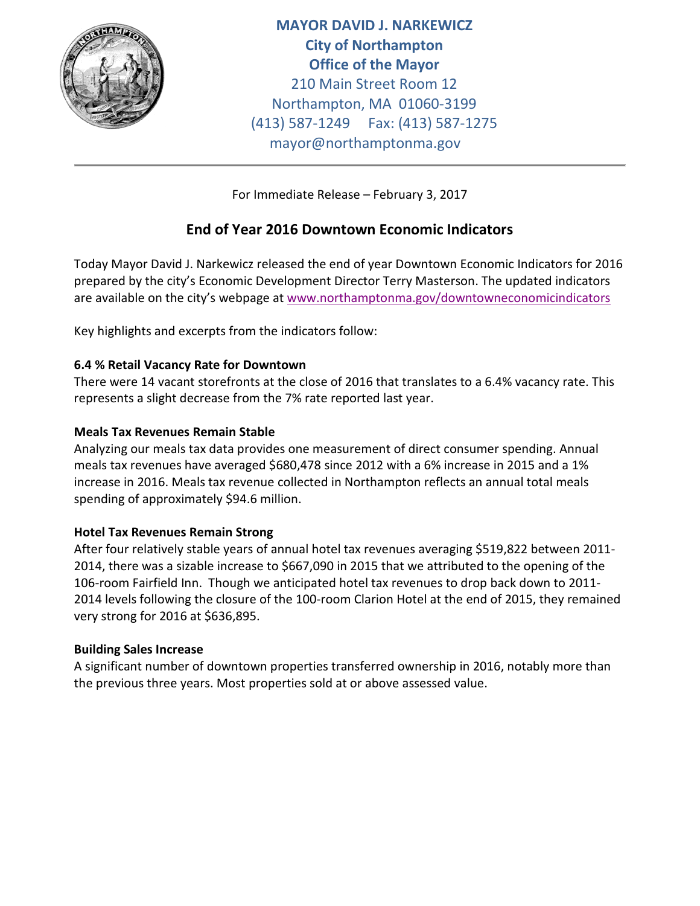

**MAYOR DAVID J. NARKEWICZ City of Northampton Office of the Mayor** 210 Main Street Room 12 Northampton, MA 01060-3199 (413) 587-1249 Fax: (413) 587-1275 mayor@northamptonma.gov

For Immediate Release – February 3, 2017

# **End of Year 2016 Downtown Economic Indicators**

Today Mayor David J. Narkewicz released the end of year Downtown Economic Indicators for 2016 prepared by the city's Economic Development Director Terry Masterson. The updated indicators are available on the city's webpage at [www.northamptonma.gov/downtowneconomicindicators](http://www.northamptonma.gov/downtowneconomicindicators)

Key highlights and excerpts from the indicators follow:

# **6.4 % Retail Vacancy Rate for Downtown**

There were 14 vacant storefronts at the close of 2016 that translates to a 6.4% vacancy rate. This represents a slight decrease from the 7% rate reported last year.

### **Meals Tax Revenues Remain Stable**

Analyzing our meals tax data provides one measurement of direct consumer spending. Annual meals tax revenues have averaged \$680,478 since 2012 with a 6% increase in 2015 and a 1% increase in 2016. Meals tax revenue collected in Northampton reflects an annual total meals spending of approximately \$94.6 million.

### **Hotel Tax Revenues Remain Strong**

After four relatively stable years of annual hotel tax revenues averaging \$519,822 between 2011- 2014, there was a sizable increase to \$667,090 in 2015 that we attributed to the opening of the 106-room Fairfield Inn. Though we anticipated hotel tax revenues to drop back down to 2011- 2014 levels following the closure of the 100-room Clarion Hotel at the end of 2015, they remained very strong for 2016 at \$636,895.

### **Building Sales Increase**

A significant number of downtown properties transferred ownership in 2016, notably more than the previous three years. Most properties sold at or above assessed value.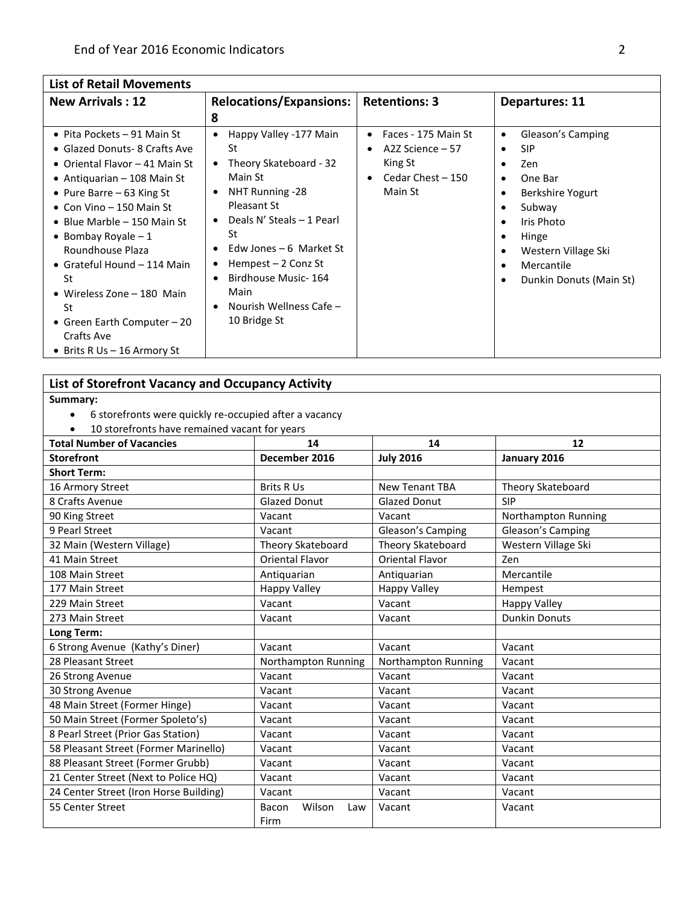## **List of Retail Movements**

| <b>New Arrivals: 12</b>                                                                                                                                                                                                                                                                                                                                                                                                       | <b>Relocations/Expansions:</b>                                                                                                                                                                                                                                                                                                                          | <b>Retentions: 3</b>                                                                                                      | <b>Departures: 11</b>                                                                                                                                                                                                                                         |
|-------------------------------------------------------------------------------------------------------------------------------------------------------------------------------------------------------------------------------------------------------------------------------------------------------------------------------------------------------------------------------------------------------------------------------|---------------------------------------------------------------------------------------------------------------------------------------------------------------------------------------------------------------------------------------------------------------------------------------------------------------------------------------------------------|---------------------------------------------------------------------------------------------------------------------------|---------------------------------------------------------------------------------------------------------------------------------------------------------------------------------------------------------------------------------------------------------------|
|                                                                                                                                                                                                                                                                                                                                                                                                                               | 8                                                                                                                                                                                                                                                                                                                                                       |                                                                                                                           |                                                                                                                                                                                                                                                               |
| • Pita Pockets – 91 Main St<br>• Glazed Donuts- 8 Crafts Ave<br>• Oriental Flavor – 41 Main St<br>• Antiquarian $-108$ Main St<br>• Pure Barre $-63$ King St<br>• Con Vino – 150 Main St<br>• Blue Marble – 150 Main St<br>• Bombay Royale $-1$<br>Roundhouse Plaza<br>• Grateful Hound $-114$ Main<br>St<br>• Wireless Zone $-180$ Main<br>St<br>• Green Earth Computer $-20$<br>Crafts Ave<br>• Brits R Us $-$ 16 Armory St | Happy Valley -177 Main<br>St<br>Theory Skateboard - 32<br>$\bullet$<br>Main St<br>NHT Running -28<br>$\bullet$<br>Pleasant St<br>Deals N' Steals - 1 Pearl<br>$\bullet$<br>St<br>Edw Jones $-6$ Market St<br>$\bullet$<br>Hempest $-2$ Conz St<br>٠<br>Birdhouse Music-164<br>$\bullet$<br>Main<br>Nourish Wellness Cafe -<br>$\bullet$<br>10 Bridge St | Faces - 175 Main St<br>$\bullet$<br>A2Z Science – 57<br>$\bullet$<br>King St<br>Cedar Chest - 150<br>$\bullet$<br>Main St | Gleason's Camping<br>٠<br><b>SIP</b><br>$\bullet$<br>Zen<br>$\bullet$<br>One Bar<br>$\bullet$<br>Berkshire Yogurt<br>٠<br>Subway<br>٠<br>Iris Photo<br>$\bullet$<br>Hinge<br>٠<br>Western Village Ski<br>٠<br>Mercantile<br>٠<br>Dunkin Donuts (Main St)<br>٠ |

#### **List of Storefront Vacancy and Occupancy Activity**

**Summary:**

- 6 storefronts were quickly re-occupied after a vacancy
- 10 storefronts have remained vacant for years

| <b>Total Number of Vacancies</b>       | 14                     | 14                     | 12                   |
|----------------------------------------|------------------------|------------------------|----------------------|
| <b>Storefront</b>                      | December 2016          | <b>July 2016</b>       | January 2016         |
| <b>Short Term:</b>                     |                        |                        |                      |
| 16 Armory Street                       | <b>Brits R Us</b>      | <b>New Tenant TBA</b>  | Theory Skateboard    |
| 8 Crafts Avenue                        | <b>Glazed Donut</b>    | <b>Glazed Donut</b>    | <b>SIP</b>           |
| 90 King Street                         | Vacant                 | Vacant                 | Northampton Running  |
| 9 Pearl Street                         | Vacant                 | Gleason's Camping      | Gleason's Camping    |
| 32 Main (Western Village)              | Theory Skateboard      | Theory Skateboard      | Western Village Ski  |
| 41 Main Street                         | <b>Oriental Flavor</b> | <b>Oriental Flavor</b> | Zen                  |
| 108 Main Street                        | Antiquarian            | Antiquarian            | Mercantile           |
| 177 Main Street                        | <b>Happy Valley</b>    | <b>Happy Valley</b>    | Hempest              |
| 229 Main Street                        | Vacant                 | Vacant                 | <b>Happy Valley</b>  |
| 273 Main Street                        | Vacant                 | Vacant                 | <b>Dunkin Donuts</b> |
| Long Term:                             |                        |                        |                      |
| 6 Strong Avenue (Kathy's Diner)        | Vacant                 | Vacant                 | Vacant               |
| 28 Pleasant Street                     | Northampton Running    | Northampton Running    | Vacant               |
| 26 Strong Avenue                       | Vacant                 | Vacant                 | Vacant               |
| 30 Strong Avenue                       | Vacant                 | Vacant                 | Vacant               |
| 48 Main Street (Former Hinge)          | Vacant                 | Vacant                 | Vacant               |
| 50 Main Street (Former Spoleto's)      | Vacant                 | Vacant                 | Vacant               |
| 8 Pearl Street (Prior Gas Station)     | Vacant                 | Vacant                 | Vacant               |
| 58 Pleasant Street (Former Marinello)  | Vacant                 | Vacant                 | Vacant               |
| 88 Pleasant Street (Former Grubb)      | Vacant                 | Vacant                 | Vacant               |
| 21 Center Street (Next to Police HQ)   | Vacant                 | Vacant                 | Vacant               |
| 24 Center Street (Iron Horse Building) | Vacant                 | Vacant                 | Vacant               |
| 55 Center Street                       | Wilson<br>Bacon<br>Law | Vacant                 | Vacant               |
|                                        | Firm                   |                        |                      |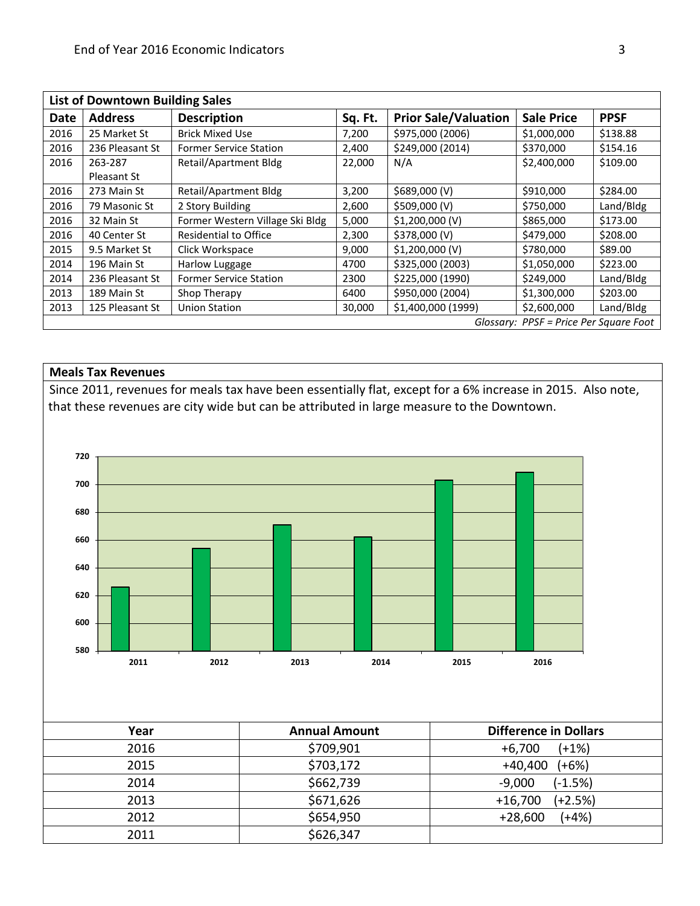| <b>List of Downtown Building Sales</b>   |                 |                                 |         |                             |                   |             |
|------------------------------------------|-----------------|---------------------------------|---------|-----------------------------|-------------------|-------------|
| <b>Date</b>                              | <b>Address</b>  | <b>Description</b>              | Sq. Ft. | <b>Prior Sale/Valuation</b> | <b>Sale Price</b> | <b>PPSF</b> |
| 2016                                     | 25 Market St    | <b>Brick Mixed Use</b>          | 7,200   | \$975,000 (2006)            | \$1,000,000       | \$138.88    |
| 2016                                     | 236 Pleasant St | <b>Former Service Station</b>   | 2,400   | \$249,000 (2014)            | \$370,000         | \$154.16    |
| 2016                                     | 263-287         | Retail/Apartment Bldg           | 22,000  | N/A                         | \$2,400,000       | \$109.00    |
|                                          | Pleasant St     |                                 |         |                             |                   |             |
| 2016                                     | 273 Main St     | Retail/Apartment Bldg           | 3,200   | \$689,000 (V)               | \$910,000         | \$284.00    |
| 2016                                     | 79 Masonic St   | 2 Story Building                | 2,600   | \$509,000 (V)               | \$750,000         | Land/Bldg   |
| 2016                                     | 32 Main St      | Former Western Village Ski Bldg | 5,000   | \$1,200,000 (V)             | \$865,000         | \$173.00    |
| 2016                                     | 40 Center St    | <b>Residential to Office</b>    | 2,300   | \$378,000 (V)               | \$479,000         | \$208.00    |
| 2015                                     | 9.5 Market St   | Click Workspace                 | 9,000   | \$1,200,000 (V)             | \$780,000         | \$89.00     |
| 2014                                     | 196 Main St     | Harlow Luggage                  | 4700    | \$325,000 (2003)            | \$1,050,000       | \$223.00    |
| 2014                                     | 236 Pleasant St | <b>Former Service Station</b>   | 2300    | \$225,000 (1990)            | \$249,000         | Land/Bldg   |
| 2013                                     | 189 Main St     | Shop Therapy                    | 6400    | \$950,000 (2004)            | \$1,300,000       | \$203.00    |
| 2013                                     | 125 Pleasant St | <b>Union Station</b>            | 30,000  | \$1,400,000 (1999)          | \$2,600,000       | Land/Bldg   |
| Glossary: $PPSF = Price Per Square Foot$ |                 |                                 |         |                             |                   |             |

#### **Meals Tax Revenues**

Since 2011, revenues for meals tax have been essentially flat, except for a 6% increase in 2015. Also note, that these revenues are city wide but can be attributed in large measure to the Downtown.



| Year | <b>Annual Amount</b> | <b>Difference in Dollars</b> |
|------|----------------------|------------------------------|
| 2016 | \$709,901            | $(+1%)$<br>$+6,700$          |
| 2015 | \$703,172            | $+40,400$<br>$(+6%)$         |
| 2014 | \$662,739            | $(-1.5%)$<br>-9,000          |
| 2013 | \$671,626            | $(+2.5%)$<br>$+16,700$       |
| 2012 | \$654,950            | $(+4%)$<br>$+28,600$         |
| 2011 | \$626,347            |                              |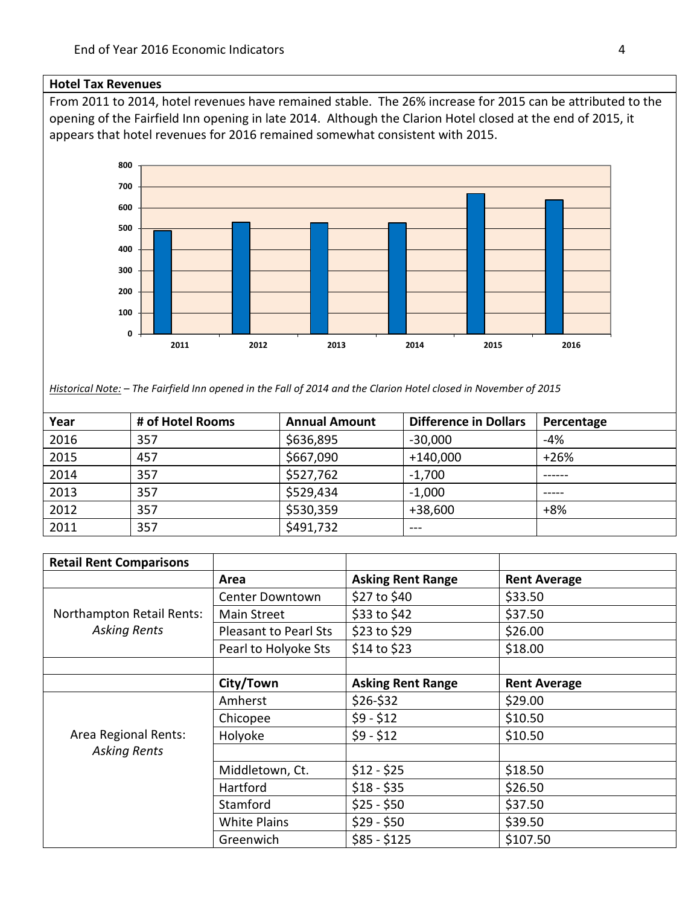#### **Hotel Tax Revenues**

From 2011 to 2014, hotel revenues have remained stable. The 26% increase for 2015 can be attributed to the opening of the Fairfield Inn opening in late 2014. Although the Clarion Hotel closed at the end of 2015, it appears that hotel revenues for 2016 remained somewhat consistent with 2015.



*Historical Note: – The Fairfield Inn opened in the Fall of 2014 and the Clarion Hotel closed in November of 2015*

| Year | # of Hotel Rooms | <b>Annual Amount</b> | <b>Difference in Dollars</b> | Percentage |
|------|------------------|----------------------|------------------------------|------------|
| 2016 | 357              | \$636,895            | $-30,000$                    | $-4%$      |
| 2015 | 457              | \$667,090            | $+140,000$                   | $+26%$     |
| 2014 | 357              | \$527,762            | $-1,700$                     | ------     |
| 2013 | 357              | \$529,434            | $-1,000$                     |            |
| 2012 | 357              | \$530,359            | $+38,600$                    | $+8%$      |
| 2011 | 357              | \$491,732            | $- - -$                      |            |

| <b>Retail Rent Comparisons</b>              |                       |                          |                     |
|---------------------------------------------|-----------------------|--------------------------|---------------------|
|                                             | Area                  | <b>Asking Rent Range</b> | <b>Rent Average</b> |
|                                             | Center Downtown       | \$27 to \$40             | \$33.50             |
| Northampton Retail Rents:                   | Main Street           | \$33 to \$42             | \$37.50             |
| <b>Asking Rents</b>                         | Pleasant to Pearl Sts | \$23 to \$29             | \$26.00             |
|                                             | Pearl to Holyoke Sts  | \$14 to \$23             | \$18.00             |
|                                             |                       |                          |                     |
|                                             | City/Town             | <b>Asking Rent Range</b> | <b>Rent Average</b> |
|                                             | Amherst               | $$26-$32$                | \$29.00             |
| Area Regional Rents:<br><b>Asking Rents</b> | Chicopee              | $$9 - $12$               | \$10.50             |
|                                             | Holyoke               | $$9 - $12$               | \$10.50             |
|                                             |                       |                          |                     |
|                                             | Middletown, Ct.       | $$12 - $25$              | \$18.50             |
|                                             | Hartford              | $$18 - $35$              | \$26.50             |
|                                             | Stamford              | $$25 - $50$              | \$37.50             |
|                                             | <b>White Plains</b>   | $$29 - $50$              | \$39.50             |
|                                             | Greenwich             | $$85 - $125$             | \$107.50            |